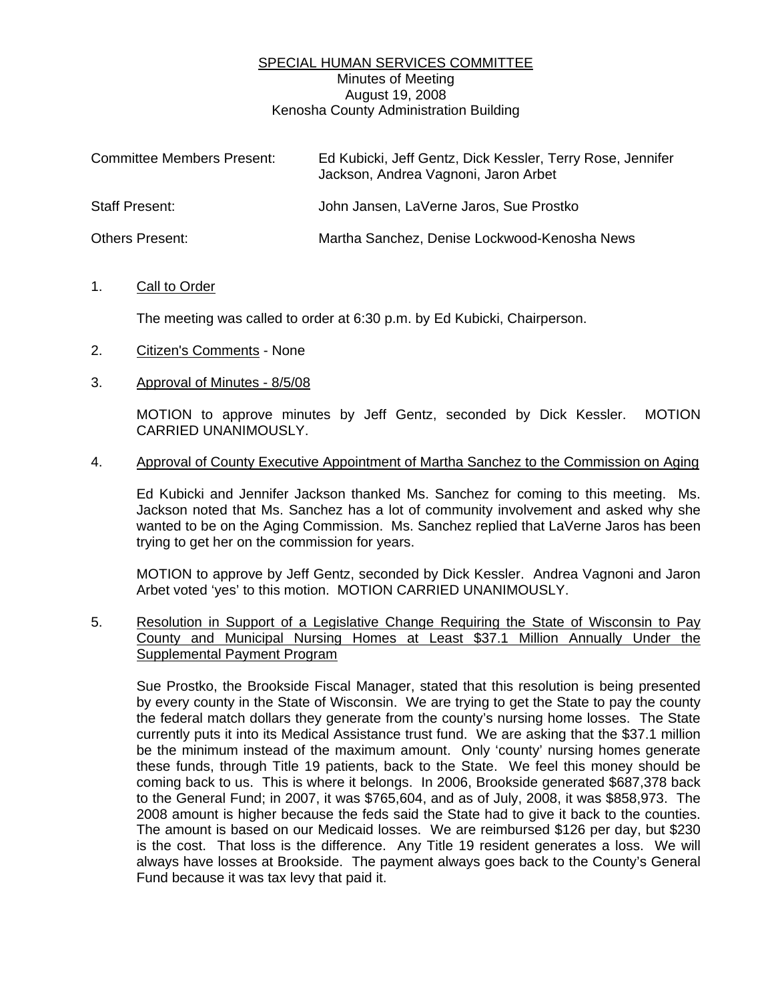# SPECIAL HUMAN SERVICES COMMITTEE Minutes of Meeting August 19, 2008 Kenosha County Administration Building

| <b>Committee Members Present:</b> | Ed Kubicki, Jeff Gentz, Dick Kessler, Terry Rose, Jennifer<br>Jackson, Andrea Vagnoni, Jaron Arbet |
|-----------------------------------|----------------------------------------------------------------------------------------------------|
| Staff Present:                    | John Jansen, LaVerne Jaros, Sue Prostko                                                            |
| <b>Others Present:</b>            | Martha Sanchez, Denise Lockwood-Kenosha News                                                       |

#### 1. Call to Order

The meeting was called to order at 6:30 p.m. by Ed Kubicki, Chairperson.

- 2. Citizen's Comments None
- 3. Approval of Minutes 8/5/08

 MOTION to approve minutes by Jeff Gentz, seconded by Dick Kessler. MOTION CARRIED UNANIMOUSLY.

#### 4. Approval of County Executive Appointment of Martha Sanchez to the Commission on Aging

 Ed Kubicki and Jennifer Jackson thanked Ms. Sanchez for coming to this meeting. Ms. Jackson noted that Ms. Sanchez has a lot of community involvement and asked why she wanted to be on the Aging Commission. Ms. Sanchez replied that LaVerne Jaros has been trying to get her on the commission for years.

 MOTION to approve by Jeff Gentz, seconded by Dick Kessler. Andrea Vagnoni and Jaron Arbet voted 'yes' to this motion. MOTION CARRIED UNANIMOUSLY.

5. Resolution in Support of a Legislative Change Requiring the State of Wisconsin to Pay County and Municipal Nursing Homes at Least \$37.1 Million Annually Under the Supplemental Payment Program

 Sue Prostko, the Brookside Fiscal Manager, stated that this resolution is being presented by every county in the State of Wisconsin. We are trying to get the State to pay the county the federal match dollars they generate from the county's nursing home losses. The State currently puts it into its Medical Assistance trust fund. We are asking that the \$37.1 million be the minimum instead of the maximum amount. Only 'county' nursing homes generate these funds, through Title 19 patients, back to the State. We feel this money should be coming back to us. This is where it belongs. In 2006, Brookside generated \$687,378 back to the General Fund; in 2007, it was \$765,604, and as of July, 2008, it was \$858,973. The 2008 amount is higher because the feds said the State had to give it back to the counties. The amount is based on our Medicaid losses. We are reimbursed \$126 per day, but \$230 is the cost. That loss is the difference. Any Title 19 resident generates a loss. We will always have losses at Brookside. The payment always goes back to the County's General Fund because it was tax levy that paid it.